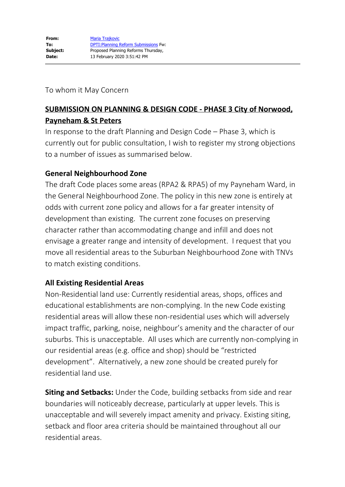To whom it May Concern

# **SUBMISSION ON PLANNING & DESIGN CODE - PHASE 3 City of Norwood, Payneham & St Peters**

In response to the draft Planning and Design Code – Phase 3, which is currently out for public consultation, I wish to register my strong objections to a number of issues as summarised below.

### **General Neighbourhood Zone**

The draft Code places some areas (RPA2 & RPA5) of my Payneham Ward, in the General Neighbourhood Zone. The policy in this new zone is entirely at odds with current zone policy and allows for a far greater intensity of development than existing. The current zone focuses on preserving character rather than accommodating change and infill and does not envisage a greater range and intensity of development. I request that you move all residential areas to the Suburban Neighbourhood Zone with TNVs to match existing conditions.

### **All Existing Residential Areas**

Non-Residential land use: Currently residential areas, shops, offices and educational establishments are non-complying. In the new Code existing residential areas will allow these non-residential uses which will adversely impact traffic, parking, noise, neighbour's amenity and the character of our suburbs. This is unacceptable. All uses which are currently non-complying in our residential areas (e.g. office and shop) should be "restricted development". Alternatively, a new zone should be created purely for residential land use.

**Siting and Setbacks:** Under the Code, building setbacks from side and rear boundaries will noticeably decrease, particularly at upper levels. This is unacceptable and will severely impact amenity and privacy. Existing siting, setback and floor area criteria should be maintained throughout all our residential areas.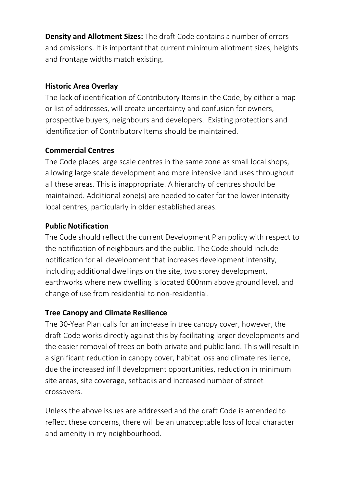**Density and Allotment Sizes:** The draft Code contains a number of errors and omissions. It is important that current minimum allotment sizes, heights and frontage widths match existing.

## **Historic Area Overlay**

The lack of identification of Contributory Items in the Code, by either a map or list of addresses, will create uncertainty and confusion for owners, prospective buyers, neighbours and developers. Existing protections and identification of Contributory Items should be maintained.

# **Commercial Centres**

The Code places large scale centres in the same zone as small local shops, allowing large scale development and more intensive land uses throughout all these areas. This is inappropriate. A hierarchy of centres should be maintained. Additional zone(s) are needed to cater for the lower intensity local centres, particularly in older established areas.

# **Public Notification**

The Code should reflect the current Development Plan policy with respect to the notification of neighbours and the public. The Code should include notification for all development that increases development intensity, including additional dwellings on the site, two storey development, earthworks where new dwelling is located 600mm above ground level, and change of use from residential to non-residential.

### **Tree Canopy and Climate Resilience**

The 30-Year Plan calls for an increase in tree canopy cover, however, the draft Code works directly against this by facilitating larger developments and the easier removal of trees on both private and public land. This will result in a significant reduction in canopy cover, habitat loss and climate resilience, due the increased infill development opportunities, reduction in minimum site areas, site coverage, setbacks and increased number of street crossovers.

Unless the above issues are addressed and the draft Code is amended to reflect these concerns, there will be an unacceptable loss of local character and amenity in my neighbourhood.